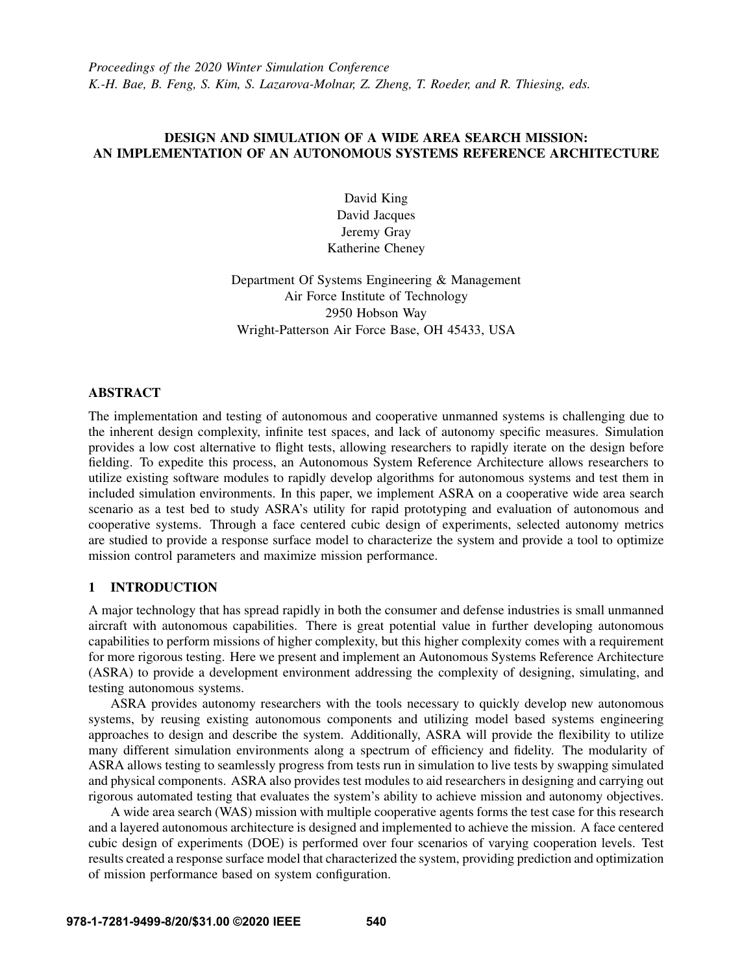*Proceedings of the 2020 Winter Simulation Conference K.-H. Bae, B. Feng, S. Kim, S. Lazarova-Molnar, Z. Zheng, T. Roeder, and R. Thiesing, eds.*

# DESIGN AND SIMULATION OF A WIDE AREA SEARCH MISSION: AN IMPLEMENTATION OF AN AUTONOMOUS SYSTEMS REFERENCE ARCHITECTURE

David King David Jacques Jeremy Gray Katherine Cheney

Department Of Systems Engineering & Management Air Force Institute of Technology 2950 Hobson Way Wright-Patterson Air Force Base, OH 45433, USA

# ABSTRACT

The implementation and testing of autonomous and cooperative unmanned systems is challenging due to the inherent design complexity, infinite test spaces, and lack of autonomy specific measures. Simulation provides a low cost alternative to flight tests, allowing researchers to rapidly iterate on the design before fielding. To expedite this process, an Autonomous System Reference Architecture allows researchers to utilize existing software modules to rapidly develop algorithms for autonomous systems and test them in included simulation environments. In this paper, we implement ASRA on a cooperative wide area search scenario as a test bed to study ASRA's utility for rapid prototyping and evaluation of autonomous and cooperative systems. Through a face centered cubic design of experiments, selected autonomy metrics are studied to provide a response surface model to characterize the system and provide a tool to optimize mission control parameters and maximize mission performance.

# 1 INTRODUCTION

A major technology that has spread rapidly in both the consumer and defense industries is small unmanned aircraft with autonomous capabilities. There is great potential value in further developing autonomous capabilities to perform missions of higher complexity, but this higher complexity comes with a requirement for more rigorous testing. Here we present and implement an Autonomous Systems Reference Architecture (ASRA) to provide a development environment addressing the complexity of designing, simulating, and testing autonomous systems.

ASRA provides autonomy researchers with the tools necessary to quickly develop new autonomous systems, by reusing existing autonomous components and utilizing model based systems engineering approaches to design and describe the system. Additionally, ASRA will provide the flexibility to utilize many different simulation environments along a spectrum of efficiency and fidelity. The modularity of ASRA allows testing to seamlessly progress from tests run in simulation to live tests by swapping simulated and physical components. ASRA also provides test modules to aid researchers in designing and carrying out rigorous automated testing that evaluates the system's ability to achieve mission and autonomy objectives.

A wide area search (WAS) mission with multiple cooperative agents forms the test case for this research and a layered autonomous architecture is designed and implemented to achieve the mission. A face centered cubic design of experiments (DOE) is performed over four scenarios of varying cooperation levels. Test results created a response surface model that characterized the system, providing prediction and optimization of mission performance based on system configuration.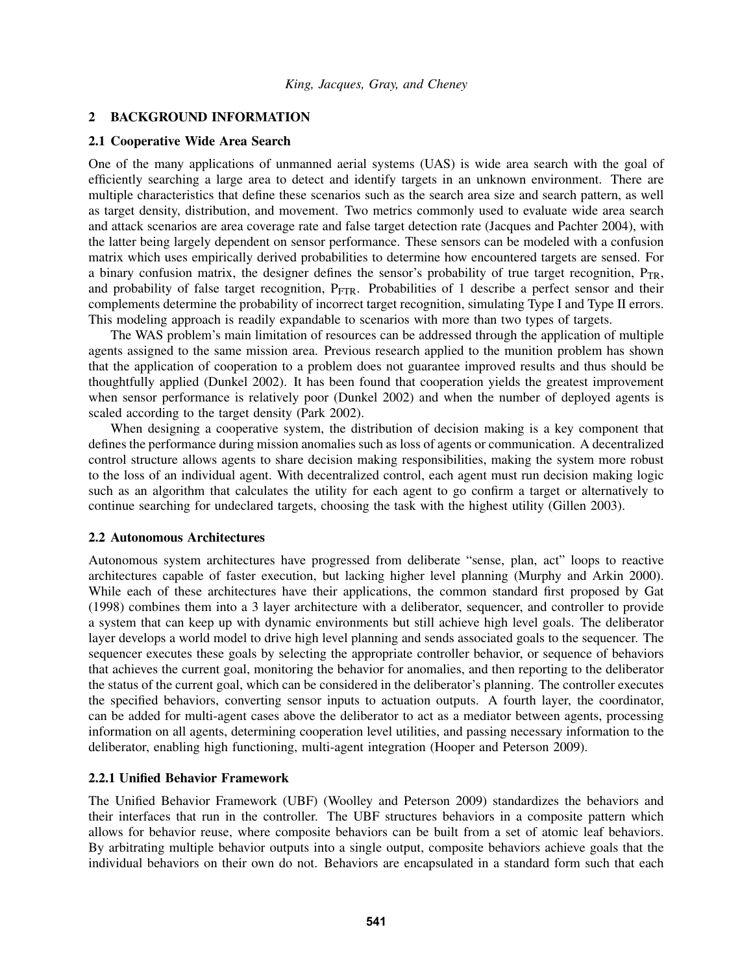### 2 BACKGROUND INFORMATION

# 2.1 Cooperative Wide Area Search

One of the many applications of unmanned aerial systems (UAS) is wide area search with the goal of efficiently searching a large area to detect and identify targets in an unknown environment. There are multiple characteristics that define these scenarios such as the search area size and search pattern, as well as target density, distribution, and movement. Two metrics commonly used to evaluate wide area search and attack scenarios are area coverage rate and false target detection rate [\(Jacques and Pachter 2004\)](#page-11-0), with the latter being largely dependent on sensor performance. These sensors can be modeled with a confusion matrix which uses empirically derived probabilities to determine how encountered targets are sensed. For a binary confusion matrix, the designer defines the sensor's probability of true target recognition,  $P_{TR}$ , and probability of false target recognition, P<sub>FTR</sub>. Probabilities of 1 describe a perfect sensor and their complements determine the probability of incorrect target recognition, simulating Type I and Type II errors. This modeling approach is readily expandable to scenarios with more than two types of targets.

The WAS problem's main limitation of resources can be addressed through the application of multiple agents assigned to the same mission area. Previous research applied to the munition problem has shown that the application of cooperation to a problem does not guarantee improved results and thus should be thoughtfully applied [\(Dunkel 2002\)](#page-11-1). It has been found that cooperation yields the greatest improvement when sensor performance is relatively poor [\(Dunkel 2002\)](#page-11-1) and when the number of deployed agents is scaled according to the target density [\(Park 2002\)](#page-11-2).

When designing a cooperative system, the distribution of decision making is a key component that defines the performance during mission anomalies such as loss of agents or communication. A decentralized control structure allows agents to share decision making responsibilities, making the system more robust to the loss of an individual agent. With decentralized control, each agent must run decision making logic such as an algorithm that calculates the utility for each agent to go confirm a target or alternatively to continue searching for undeclared targets, choosing the task with the highest utility [\(Gillen 2003\)](#page-11-3).

#### 2.2 Autonomous Architectures

Autonomous system architectures have progressed from deliberate "sense, plan, act" loops to reactive architectures capable of faster execution, but lacking higher level planning [\(Murphy and Arkin 2000\)](#page-11-4). While each of these architectures have their applications, the common standard first proposed by [Gat](#page-11-5) [\(1998\)](#page-11-5) combines them into a 3 layer architecture with a deliberator, sequencer, and controller to provide a system that can keep up with dynamic environments but still achieve high level goals. The deliberator layer develops a world model to drive high level planning and sends associated goals to the sequencer. The sequencer executes these goals by selecting the appropriate controller behavior, or sequence of behaviors that achieves the current goal, monitoring the behavior for anomalies, and then reporting to the deliberator the status of the current goal, which can be considered in the deliberator's planning. The controller executes the specified behaviors, converting sensor inputs to actuation outputs. A fourth layer, the coordinator, can be added for multi-agent cases above the deliberator to act as a mediator between agents, processing information on all agents, determining cooperation level utilities, and passing necessary information to the deliberator, enabling high functioning, multi-agent integration [\(Hooper and Peterson 2009\)](#page-11-6).

### 2.2.1 Unified Behavior Framework

The Unified Behavior Framework (UBF) [\(Woolley and Peterson 2009\)](#page-11-7) standardizes the behaviors and their interfaces that run in the controller. The UBF structures behaviors in a composite pattern which allows for behavior reuse, where composite behaviors can be built from a set of atomic leaf behaviors. By arbitrating multiple behavior outputs into a single output, composite behaviors achieve goals that the individual behaviors on their own do not. Behaviors are encapsulated in a standard form such that each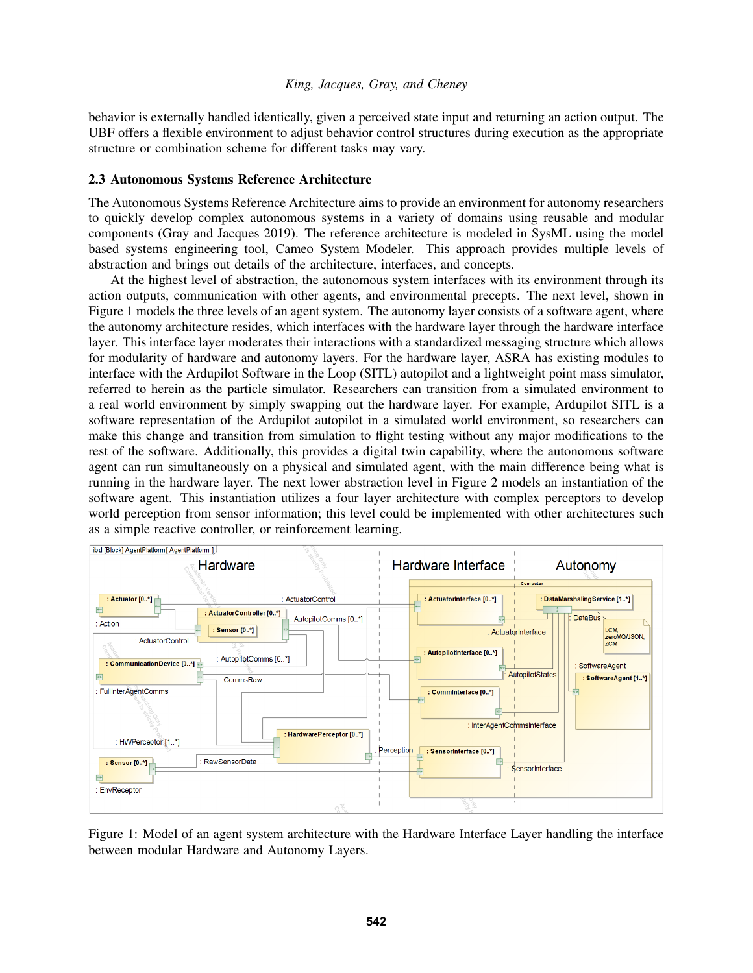behavior is externally handled identically, given a perceived state input and returning an action output. The UBF offers a flexible environment to adjust behavior control structures during execution as the appropriate structure or combination scheme for different tasks may vary.

### 2.3 Autonomous Systems Reference Architecture

The Autonomous Systems Reference Architecture aims to provide an environment for autonomy researchers to quickly develop complex autonomous systems in a variety of domains using reusable and modular components [\(Gray and Jacques 2019\)](#page-11-8). The reference architecture is modeled in SysML using the model based systems engineering tool, Cameo System Modeler. This approach provides multiple levels of abstraction and brings out details of the architecture, interfaces, and concepts.

At the highest level of abstraction, the autonomous system interfaces with its environment through its action outputs, communication with other agents, and environmental precepts. The next level, shown in Figure [1](#page-2-0) models the three levels of an agent system. The autonomy layer consists of a software agent, where the autonomy architecture resides, which interfaces with the hardware layer through the hardware interface layer. This interface layer moderates their interactions with a standardized messaging structure which allows for modularity of hardware and autonomy layers. For the hardware layer, ASRA has existing modules to interface with the Ardupilot Software in the Loop (SITL) autopilot and a lightweight point mass simulator, referred to herein as the particle simulator. Researchers can transition from a simulated environment to a real world environment by simply swapping out the hardware layer. For example, Ardupilot SITL is a software representation of the Ardupilot autopilot in a simulated world environment, so researchers can make this change and transition from simulation to flight testing without any major modifications to the rest of the software. Additionally, this provides a digital twin capability, where the autonomous software agent can run simultaneously on a physical and simulated agent, with the main difference being what is running in the hardware layer. The next lower abstraction level in Figure [2](#page-4-0) models an instantiation of the software agent. This instantiation utilizes a four layer architecture with complex perceptors to develop world perception from sensor information; this level could be implemented with other architectures such as a simple reactive controller, or reinforcement learning.



<span id="page-2-0"></span>Figure 1: Model of an agent system architecture with the Hardware Interface Layer handling the interface between modular Hardware and Autonomy Layers.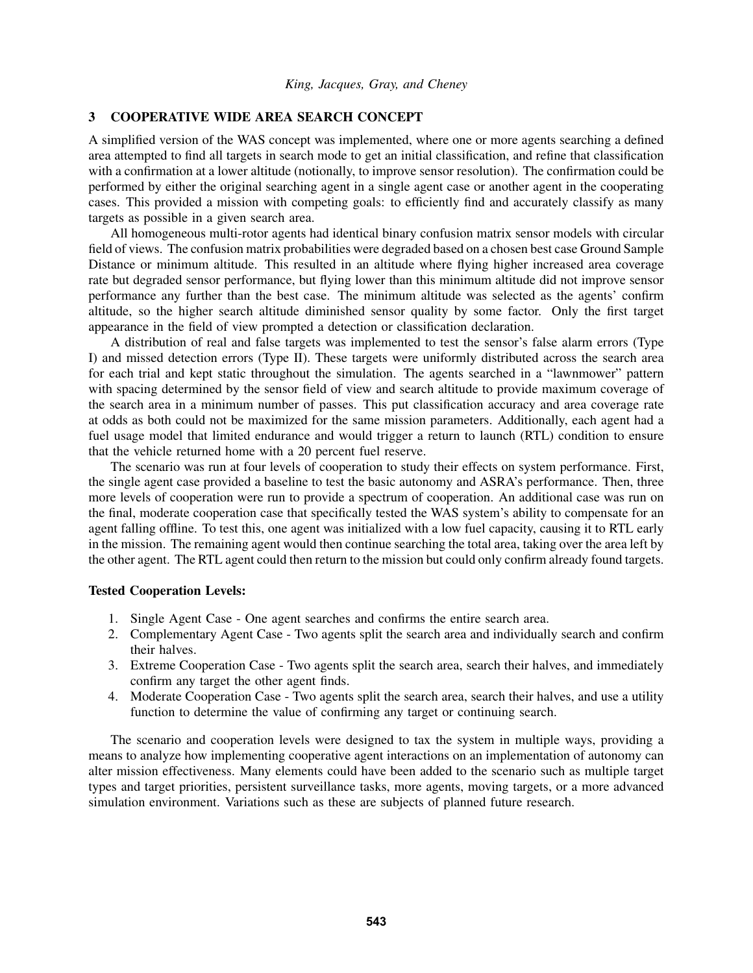# 3 COOPERATIVE WIDE AREA SEARCH CONCEPT

A simplified version of the WAS concept was implemented, where one or more agents searching a defined area attempted to find all targets in search mode to get an initial classification, and refine that classification with a confirmation at a lower altitude (notionally, to improve sensor resolution). The confirmation could be performed by either the original searching agent in a single agent case or another agent in the cooperating cases. This provided a mission with competing goals: to efficiently find and accurately classify as many targets as possible in a given search area.

All homogeneous multi-rotor agents had identical binary confusion matrix sensor models with circular field of views. The confusion matrix probabilities were degraded based on a chosen best case Ground Sample Distance or minimum altitude. This resulted in an altitude where flying higher increased area coverage rate but degraded sensor performance, but flying lower than this minimum altitude did not improve sensor performance any further than the best case. The minimum altitude was selected as the agents' confirm altitude, so the higher search altitude diminished sensor quality by some factor. Only the first target appearance in the field of view prompted a detection or classification declaration.

A distribution of real and false targets was implemented to test the sensor's false alarm errors (Type I) and missed detection errors (Type II). These targets were uniformly distributed across the search area for each trial and kept static throughout the simulation. The agents searched in a "lawnmower" pattern with spacing determined by the sensor field of view and search altitude to provide maximum coverage of the search area in a minimum number of passes. This put classification accuracy and area coverage rate at odds as both could not be maximized for the same mission parameters. Additionally, each agent had a fuel usage model that limited endurance and would trigger a return to launch (RTL) condition to ensure that the vehicle returned home with a 20 percent fuel reserve.

The scenario was run at four levels of cooperation to study their effects on system performance. First, the single agent case provided a baseline to test the basic autonomy and ASRA's performance. Then, three more levels of cooperation were run to provide a spectrum of cooperation. An additional case was run on the final, moderate cooperation case that specifically tested the WAS system's ability to compensate for an agent falling offline. To test this, one agent was initialized with a low fuel capacity, causing it to RTL early in the mission. The remaining agent would then continue searching the total area, taking over the area left by the other agent. The RTL agent could then return to the mission but could only confirm already found targets.

#### Tested Cooperation Levels:

- 1. Single Agent Case One agent searches and confirms the entire search area.
- 2. Complementary Agent Case Two agents split the search area and individually search and confirm their halves.
- 3. Extreme Cooperation Case Two agents split the search area, search their halves, and immediately confirm any target the other agent finds.
- 4. Moderate Cooperation Case Two agents split the search area, search their halves, and use a utility function to determine the value of confirming any target or continuing search.

The scenario and cooperation levels were designed to tax the system in multiple ways, providing a means to analyze how implementing cooperative agent interactions on an implementation of autonomy can alter mission effectiveness. Many elements could have been added to the scenario such as multiple target types and target priorities, persistent surveillance tasks, more agents, moving targets, or a more advanced simulation environment. Variations such as these are subjects of planned future research.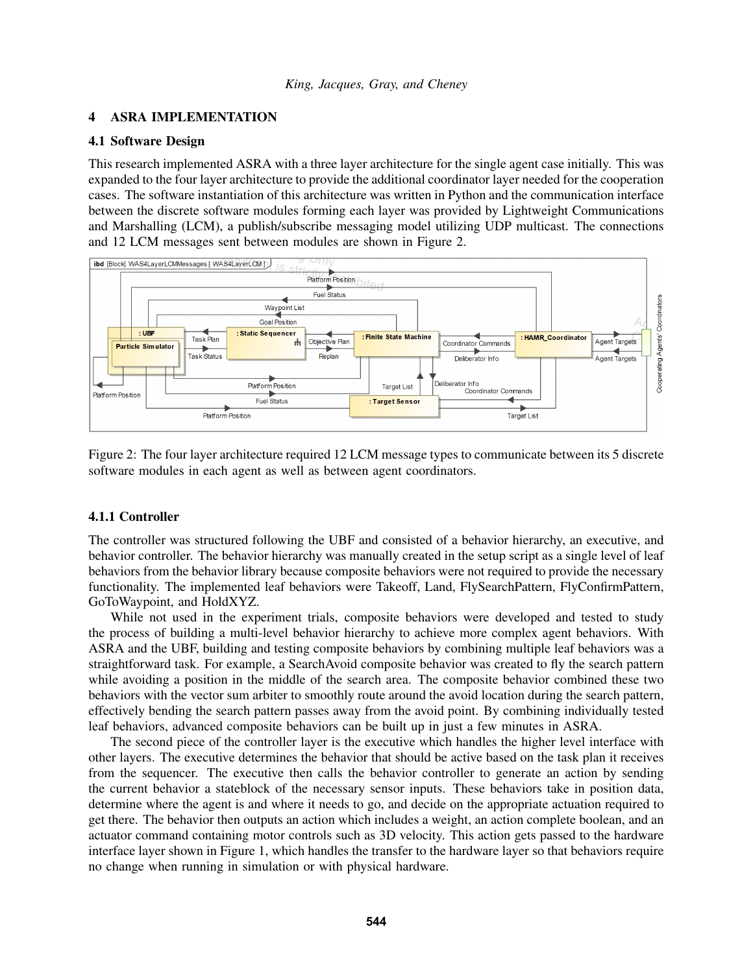#### 4 ASRA IMPLEMENTATION

### 4.1 Software Design

This research implemented ASRA with a three layer architecture for the single agent case initially. This was expanded to the four layer architecture to provide the additional coordinator layer needed for the cooperation cases. The software instantiation of this architecture was written in Python and the communication interface between the discrete software modules forming each layer was provided by Lightweight Communications and Marshalling (LCM), a publish/subscribe messaging model utilizing UDP multicast. The connections and 12 LCM messages sent between modules are shown in Figure [2.](#page-4-0)



<span id="page-4-0"></span>Figure 2: The four layer architecture required 12 LCM message types to communicate between its 5 discrete software modules in each agent as well as between agent coordinators.

### 4.1.1 Controller

The controller was structured following the UBF and consisted of a behavior hierarchy, an executive, and behavior controller. The behavior hierarchy was manually created in the setup script as a single level of leaf behaviors from the behavior library because composite behaviors were not required to provide the necessary functionality. The implemented leaf behaviors were Takeoff, Land, FlySearchPattern, FlyConfirmPattern, GoToWaypoint, and HoldXYZ.

While not used in the experiment trials, composite behaviors were developed and tested to study the process of building a multi-level behavior hierarchy to achieve more complex agent behaviors. With ASRA and the UBF, building and testing composite behaviors by combining multiple leaf behaviors was a straightforward task. For example, a SearchAvoid composite behavior was created to fly the search pattern while avoiding a position in the middle of the search area. The composite behavior combined these two behaviors with the vector sum arbiter to smoothly route around the avoid location during the search pattern, effectively bending the search pattern passes away from the avoid point. By combining individually tested leaf behaviors, advanced composite behaviors can be built up in just a few minutes in ASRA.

The second piece of the controller layer is the executive which handles the higher level interface with other layers. The executive determines the behavior that should be active based on the task plan it receives from the sequencer. The executive then calls the behavior controller to generate an action by sending the current behavior a stateblock of the necessary sensor inputs. These behaviors take in position data, determine where the agent is and where it needs to go, and decide on the appropriate actuation required to get there. The behavior then outputs an action which includes a weight, an action complete boolean, and an actuator command containing motor controls such as 3D velocity. This action gets passed to the hardware interface layer shown in Figure [1,](#page-2-0) which handles the transfer to the hardware layer so that behaviors require no change when running in simulation or with physical hardware.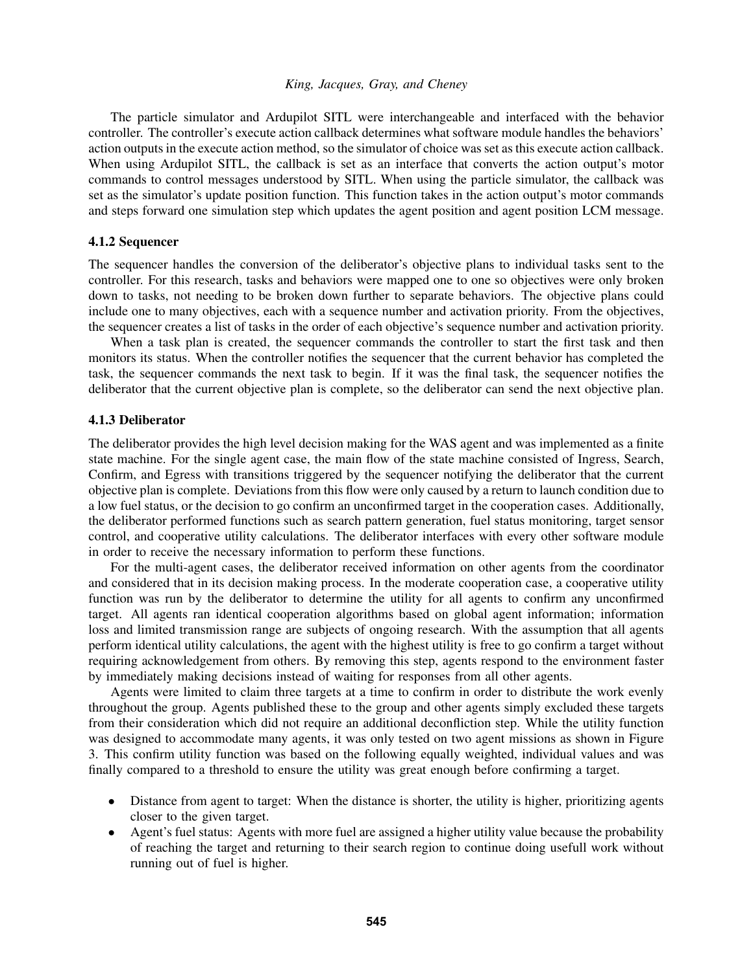The particle simulator and Ardupilot SITL were interchangeable and interfaced with the behavior controller. The controller's execute action callback determines what software module handles the behaviors' action outputs in the execute action method, so the simulator of choice was set as this execute action callback. When using Ardupilot SITL, the callback is set as an interface that converts the action output's motor commands to control messages understood by SITL. When using the particle simulator, the callback was set as the simulator's update position function. This function takes in the action output's motor commands and steps forward one simulation step which updates the agent position and agent position LCM message.

#### 4.1.2 Sequencer

The sequencer handles the conversion of the deliberator's objective plans to individual tasks sent to the controller. For this research, tasks and behaviors were mapped one to one so objectives were only broken down to tasks, not needing to be broken down further to separate behaviors. The objective plans could include one to many objectives, each with a sequence number and activation priority. From the objectives, the sequencer creates a list of tasks in the order of each objective's sequence number and activation priority.

When a task plan is created, the sequencer commands the controller to start the first task and then monitors its status. When the controller notifies the sequencer that the current behavior has completed the task, the sequencer commands the next task to begin. If it was the final task, the sequencer notifies the deliberator that the current objective plan is complete, so the deliberator can send the next objective plan.

### 4.1.3 Deliberator

The deliberator provides the high level decision making for the WAS agent and was implemented as a finite state machine. For the single agent case, the main flow of the state machine consisted of Ingress, Search, Confirm, and Egress with transitions triggered by the sequencer notifying the deliberator that the current objective plan is complete. Deviations from this flow were only caused by a return to launch condition due to a low fuel status, or the decision to go confirm an unconfirmed target in the cooperation cases. Additionally, the deliberator performed functions such as search pattern generation, fuel status monitoring, target sensor control, and cooperative utility calculations. The deliberator interfaces with every other software module in order to receive the necessary information to perform these functions.

For the multi-agent cases, the deliberator received information on other agents from the coordinator and considered that in its decision making process. In the moderate cooperation case, a cooperative utility function was run by the deliberator to determine the utility for all agents to confirm any unconfirmed target. All agents ran identical cooperation algorithms based on global agent information; information loss and limited transmission range are subjects of ongoing research. With the assumption that all agents perform identical utility calculations, the agent with the highest utility is free to go confirm a target without requiring acknowledgement from others. By removing this step, agents respond to the environment faster by immediately making decisions instead of waiting for responses from all other agents.

Agents were limited to claim three targets at a time to confirm in order to distribute the work evenly throughout the group. Agents published these to the group and other agents simply excluded these targets from their consideration which did not require an additional deconfliction step. While the utility function was designed to accommodate many agents, it was only tested on two agent missions as shown in Figure [3.](#page-6-0) This confirm utility function was based on the following equally weighted, individual values and was finally compared to a threshold to ensure the utility was great enough before confirming a target.

- Distance from agent to target: When the distance is shorter, the utility is higher, prioritizing agents closer to the given target.
- Agent's fuel status: Agents with more fuel are assigned a higher utility value because the probability of reaching the target and returning to their search region to continue doing usefull work without running out of fuel is higher.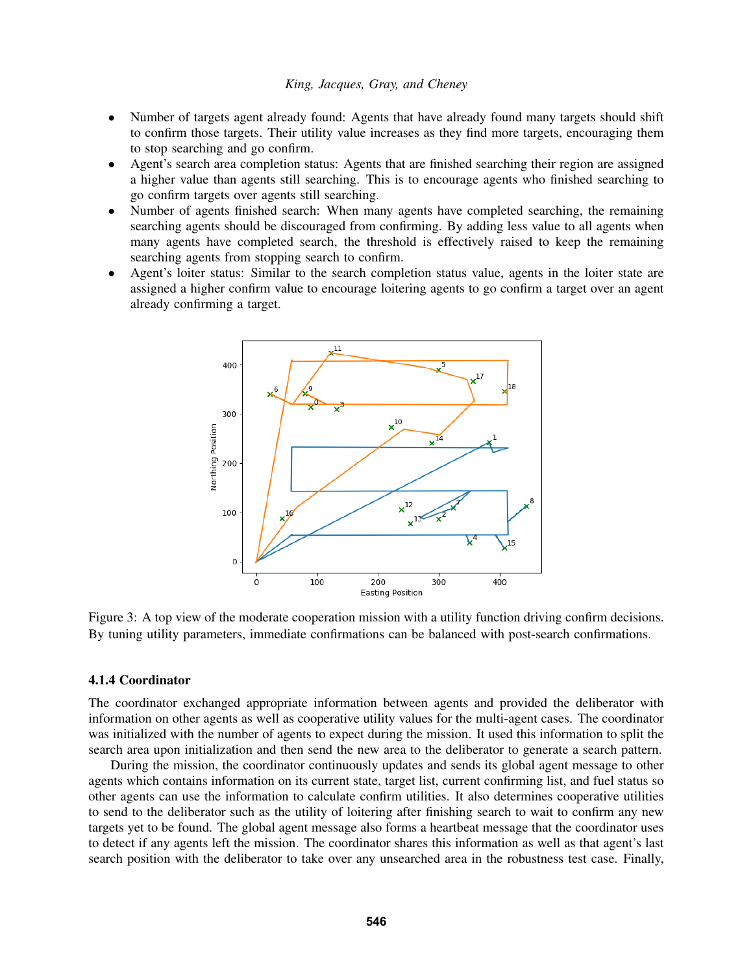- Number of targets agent already found: Agents that have already found many targets should shift to confirm those targets. Their utility value increases as they find more targets, encouraging them to stop searching and go confirm.
- Agent's search area completion status: Agents that are finished searching their region are assigned a higher value than agents still searching. This is to encourage agents who finished searching to go confirm targets over agents still searching.
- Number of agents finished search: When many agents have completed searching, the remaining searching agents should be discouraged from confirming. By adding less value to all agents when many agents have completed search, the threshold is effectively raised to keep the remaining searching agents from stopping search to confirm.
- Agent's loiter status: Similar to the search completion status value, agents in the loiter state are assigned a higher confirm value to encourage loitering agents to go confirm a target over an agent already confirming a target.



<span id="page-6-0"></span>Figure 3: A top view of the moderate cooperation mission with a utility function driving confirm decisions. By tuning utility parameters, immediate confirmations can be balanced with post-search confirmations.

#### 4.1.4 Coordinator

The coordinator exchanged appropriate information between agents and provided the deliberator with information on other agents as well as cooperative utility values for the multi-agent cases. The coordinator was initialized with the number of agents to expect during the mission. It used this information to split the search area upon initialization and then send the new area to the deliberator to generate a search pattern.

During the mission, the coordinator continuously updates and sends its global agent message to other agents which contains information on its current state, target list, current confirming list, and fuel status so other agents can use the information to calculate confirm utilities. It also determines cooperative utilities to send to the deliberator such as the utility of loitering after finishing search to wait to confirm any new targets yet to be found. The global agent message also forms a heartbeat message that the coordinator uses to detect if any agents left the mission. The coordinator shares this information as well as that agent's last search position with the deliberator to take over any unsearched area in the robustness test case. Finally,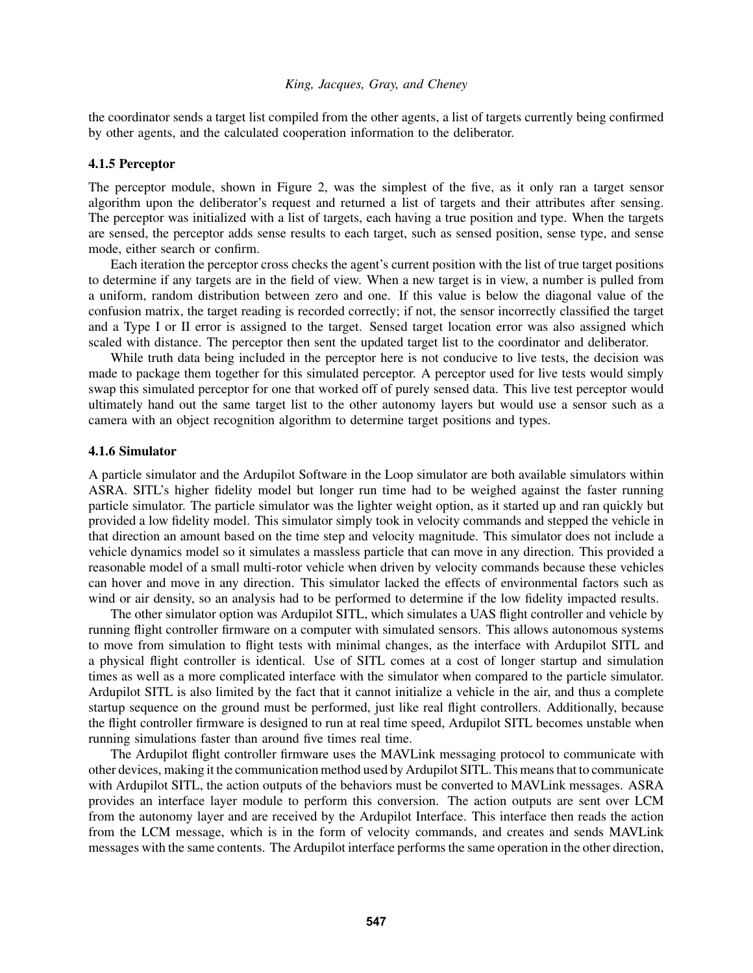the coordinator sends a target list compiled from the other agents, a list of targets currently being confirmed by other agents, and the calculated cooperation information to the deliberator.

#### 4.1.5 Perceptor

The perceptor module, shown in Figure [2,](#page-4-0) was the simplest of the five, as it only ran a target sensor algorithm upon the deliberator's request and returned a list of targets and their attributes after sensing. The perceptor was initialized with a list of targets, each having a true position and type. When the targets are sensed, the perceptor adds sense results to each target, such as sensed position, sense type, and sense mode, either search or confirm.

Each iteration the perceptor cross checks the agent's current position with the list of true target positions to determine if any targets are in the field of view. When a new target is in view, a number is pulled from a uniform, random distribution between zero and one. If this value is below the diagonal value of the confusion matrix, the target reading is recorded correctly; if not, the sensor incorrectly classified the target and a Type I or II error is assigned to the target. Sensed target location error was also assigned which scaled with distance. The perceptor then sent the updated target list to the coordinator and deliberator.

While truth data being included in the perceptor here is not conducive to live tests, the decision was made to package them together for this simulated perceptor. A perceptor used for live tests would simply swap this simulated perceptor for one that worked off of purely sensed data. This live test perceptor would ultimately hand out the same target list to the other autonomy layers but would use a sensor such as a camera with an object recognition algorithm to determine target positions and types.

#### 4.1.6 Simulator

A particle simulator and the Ardupilot Software in the Loop simulator are both available simulators within ASRA. SITL's higher fidelity model but longer run time had to be weighed against the faster running particle simulator. The particle simulator was the lighter weight option, as it started up and ran quickly but provided a low fidelity model. This simulator simply took in velocity commands and stepped the vehicle in that direction an amount based on the time step and velocity magnitude. This simulator does not include a vehicle dynamics model so it simulates a massless particle that can move in any direction. This provided a reasonable model of a small multi-rotor vehicle when driven by velocity commands because these vehicles can hover and move in any direction. This simulator lacked the effects of environmental factors such as wind or air density, so an analysis had to be performed to determine if the low fidelity impacted results.

The other simulator option was Ardupilot SITL, which simulates a UAS flight controller and vehicle by running flight controller firmware on a computer with simulated sensors. This allows autonomous systems to move from simulation to flight tests with minimal changes, as the interface with Ardupilot SITL and a physical flight controller is identical. Use of SITL comes at a cost of longer startup and simulation times as well as a more complicated interface with the simulator when compared to the particle simulator. Ardupilot SITL is also limited by the fact that it cannot initialize a vehicle in the air, and thus a complete startup sequence on the ground must be performed, just like real flight controllers. Additionally, because the flight controller firmware is designed to run at real time speed, Ardupilot SITL becomes unstable when running simulations faster than around five times real time.

The Ardupilot flight controller firmware uses the MAVLink messaging protocol to communicate with other devices, making it the communication method used by Ardupilot SITL. This means that to communicate with Ardupilot SITL, the action outputs of the behaviors must be converted to MAVLink messages. ASRA provides an interface layer module to perform this conversion. The action outputs are sent over LCM from the autonomy layer and are received by the Ardupilot Interface. This interface then reads the action from the LCM message, which is in the form of velocity commands, and creates and sends MAVLink messages with the same contents. The Ardupilot interface performs the same operation in the other direction,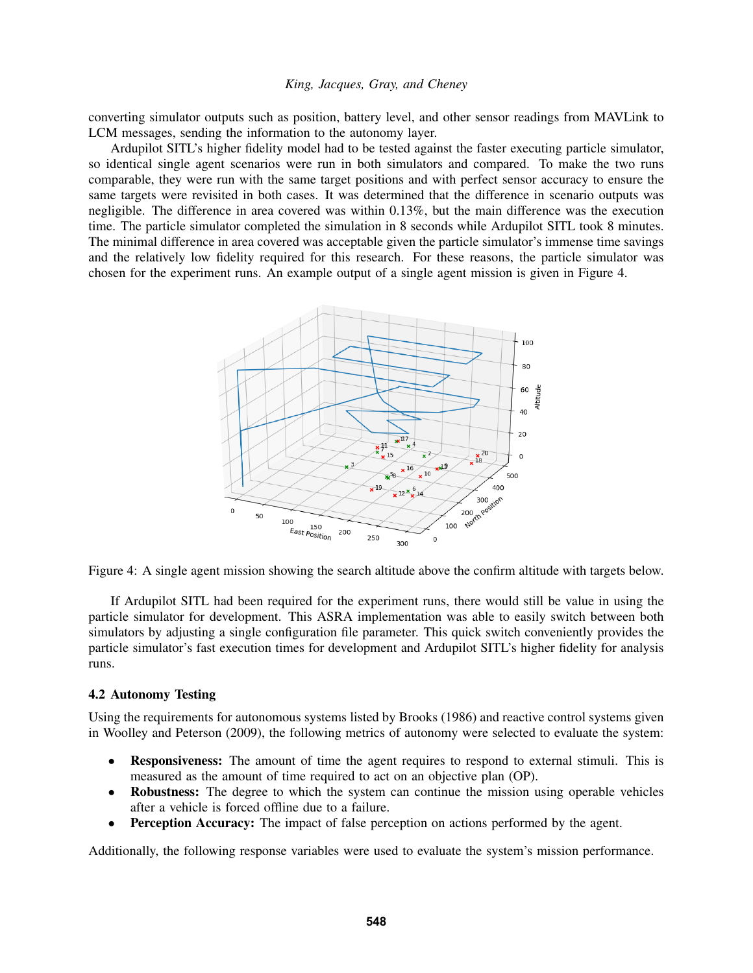converting simulator outputs such as position, battery level, and other sensor readings from MAVLink to LCM messages, sending the information to the autonomy layer.

Ardupilot SITL's higher fidelity model had to be tested against the faster executing particle simulator, so identical single agent scenarios were run in both simulators and compared. To make the two runs comparable, they were run with the same target positions and with perfect sensor accuracy to ensure the same targets were revisited in both cases. It was determined that the difference in scenario outputs was negligible. The difference in area covered was within 0.13%, but the main difference was the execution time. The particle simulator completed the simulation in 8 seconds while Ardupilot SITL took 8 minutes. The minimal difference in area covered was acceptable given the particle simulator's immense time savings and the relatively low fidelity required for this research. For these reasons, the particle simulator was chosen for the experiment runs. An example output of a single agent mission is given in Figure [4.](#page-8-0)



<span id="page-8-0"></span>Figure 4: A single agent mission showing the search altitude above the confirm altitude with targets below.

If Ardupilot SITL had been required for the experiment runs, there would still be value in using the particle simulator for development. This ASRA implementation was able to easily switch between both simulators by adjusting a single configuration file parameter. This quick switch conveniently provides the particle simulator's fast execution times for development and Ardupilot SITL's higher fidelity for analysis runs.

#### <span id="page-8-1"></span>4.2 Autonomy Testing

Using the requirements for autonomous systems listed by [Brooks \(1986\)](#page-11-9) and reactive control systems given in [Woolley and Peterson \(2009\),](#page-11-7) the following metrics of autonomy were selected to evaluate the system:

- Responsiveness: The amount of time the agent requires to respond to external stimuli. This is measured as the amount of time required to act on an objective plan (OP).
- Robustness: The degree to which the system can continue the mission using operable vehicles after a vehicle is forced offline due to a failure.
- **Perception Accuracy:** The impact of false perception on actions performed by the agent.

Additionally, the following response variables were used to evaluate the system's mission performance.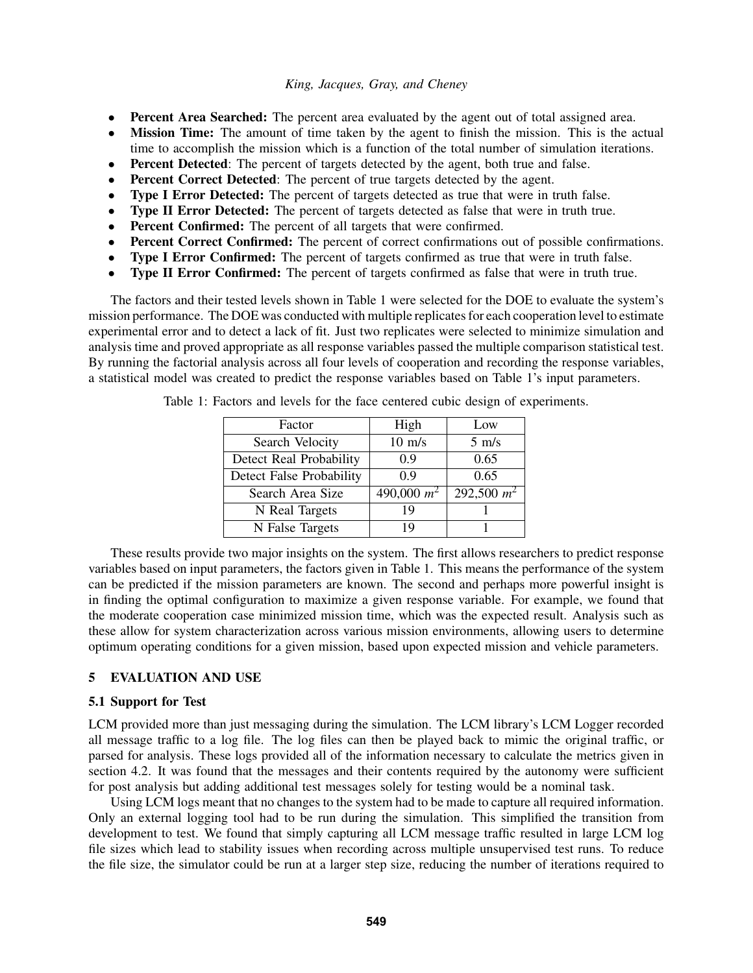- Percent Area Searched: The percent area evaluated by the agent out of total assigned area.
- **Mission Time:** The amount of time taken by the agent to finish the mission. This is the actual time to accomplish the mission which is a function of the total number of simulation iterations.
- **Percent Detected:** The percent of targets detected by the agent, both true and false.
- Percent Correct Detected: The percent of true targets detected by the agent.
- Type I Error Detected: The percent of targets detected as true that were in truth false.
- Type II Error Detected: The percent of targets detected as false that were in truth true.
- Percent Confirmed: The percent of all targets that were confirmed.
- Percent Correct Confirmed: The percent of correct confirmations out of possible confirmations.
- Type I Error Confirmed: The percent of targets confirmed as true that were in truth false.
- Type II Error Confirmed: The percent of targets confirmed as false that were in truth true.

The factors and their tested levels shown in Table [1](#page-9-0) were selected for the DOE to evaluate the system's mission performance. The DOE was conducted with multiple replicates for each cooperation level to estimate experimental error and to detect a lack of fit. Just two replicates were selected to minimize simulation and analysis time and proved appropriate as all response variables passed the multiple comparison statistical test. By running the factorial analysis across all four levels of cooperation and recording the response variables, a statistical model was created to predict the response variables based on Table 1's input parameters.

<span id="page-9-0"></span>

| Factor                   | High             | Low             |
|--------------------------|------------------|-----------------|
| Search Velocity          | $10 \text{ m/s}$ | $5 \text{ m/s}$ |
| Detect Real Probability  | 0.9              | 0.65            |
| Detect False Probability | 0.9              | 0.65            |
| Search Area Size         | 490,000 $m^2$    | 292,500 $m^2$   |
| N Real Targets           | 19               |                 |
| N False Targets          | 19               |                 |

Table 1: Factors and levels for the face centered cubic design of experiments.

These results provide two major insights on the system. The first allows researchers to predict response variables based on input parameters, the factors given in Table [1.](#page-9-0) This means the performance of the system can be predicted if the mission parameters are known. The second and perhaps more powerful insight is in finding the optimal configuration to maximize a given response variable. For example, we found that the moderate cooperation case minimized mission time, which was the expected result. Analysis such as these allow for system characterization across various mission environments, allowing users to determine optimum operating conditions for a given mission, based upon expected mission and vehicle parameters.

## 5 EVALUATION AND USE

### 5.1 Support for Test

LCM provided more than just messaging during the simulation. The LCM library's LCM Logger recorded all message traffic to a log file. The log files can then be played back to mimic the original traffic, or parsed for analysis. These logs provided all of the information necessary to calculate the metrics given in section [4.2.](#page-8-1) It was found that the messages and their contents required by the autonomy were sufficient for post analysis but adding additional test messages solely for testing would be a nominal task.

Using LCM logs meant that no changes to the system had to be made to capture all required information. Only an external logging tool had to be run during the simulation. This simplified the transition from development to test. We found that simply capturing all LCM message traffic resulted in large LCM log file sizes which lead to stability issues when recording across multiple unsupervised test runs. To reduce the file size, the simulator could be run at a larger step size, reducing the number of iterations required to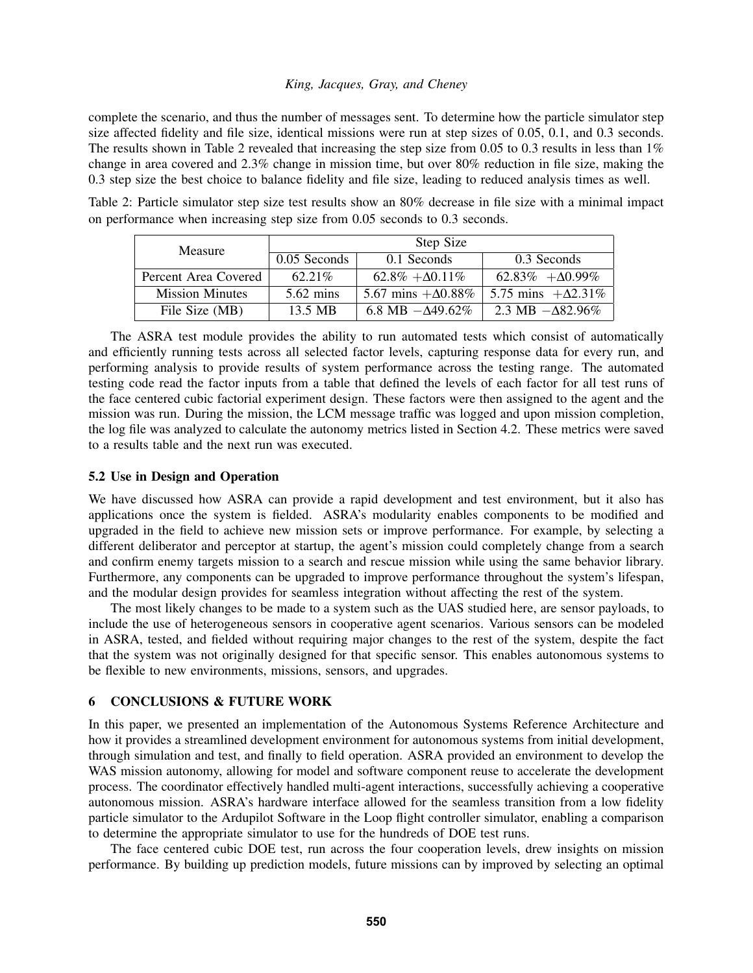complete the scenario, and thus the number of messages sent. To determine how the particle simulator step size affected fidelity and file size, identical missions were run at step sizes of 0.05, 0.1, and 0.3 seconds. The results shown in Table [2](#page-10-0) revealed that increasing the step size from 0.05 to 0.3 results in less than  $1\%$ change in area covered and 2.3% change in mission time, but over 80% reduction in file size, making the 0.3 step size the best choice to balance fidelity and file size, leading to reduced analysis times as well.

Table 2: Particle simulator step size test results show an 80% decrease in file size with a minimal impact on performance when increasing step size from 0.05 seconds to 0.3 seconds.

<span id="page-10-0"></span>

| <b>Measure</b>         | Step Size           |                            |                            |
|------------------------|---------------------|----------------------------|----------------------------|
|                        | 0.05 Seconds        | 0.1 Seconds                | 0.3 Seconds                |
| Percent Area Covered   | $62.21\%$           | $62.8\% + \Delta 0.11\%$   | $62.83\% + \Delta 0.99\%$  |
| <b>Mission Minutes</b> | $5.62 \text{ mins}$ | 5.67 mins $+\Delta 0.88\%$ | 5.75 mins $+\Delta 2.31\%$ |
| File Size (MB)         | 13.5 MB             | 6.8 MB $-\Delta 49.62\%$   | 2.3 MB $-\Delta 82.96\%$   |

The ASRA test module provides the ability to run automated tests which consist of automatically and efficiently running tests across all selected factor levels, capturing response data for every run, and performing analysis to provide results of system performance across the testing range. The automated testing code read the factor inputs from a table that defined the levels of each factor for all test runs of the face centered cubic factorial experiment design. These factors were then assigned to the agent and the mission was run. During the mission, the LCM message traffic was logged and upon mission completion, the log file was analyzed to calculate the autonomy metrics listed in Section [4.2.](#page-8-1) These metrics were saved to a results table and the next run was executed.

# 5.2 Use in Design and Operation

We have discussed how ASRA can provide a rapid development and test environment, but it also has applications once the system is fielded. ASRA's modularity enables components to be modified and upgraded in the field to achieve new mission sets or improve performance. For example, by selecting a different deliberator and perceptor at startup, the agent's mission could completely change from a search and confirm enemy targets mission to a search and rescue mission while using the same behavior library. Furthermore, any components can be upgraded to improve performance throughout the system's lifespan, and the modular design provides for seamless integration without affecting the rest of the system.

The most likely changes to be made to a system such as the UAS studied here, are sensor payloads, to include the use of heterogeneous sensors in cooperative agent scenarios. Various sensors can be modeled in ASRA, tested, and fielded without requiring major changes to the rest of the system, despite the fact that the system was not originally designed for that specific sensor. This enables autonomous systems to be flexible to new environments, missions, sensors, and upgrades.

### 6 CONCLUSIONS & FUTURE WORK

In this paper, we presented an implementation of the Autonomous Systems Reference Architecture and how it provides a streamlined development environment for autonomous systems from initial development, through simulation and test, and finally to field operation. ASRA provided an environment to develop the WAS mission autonomy, allowing for model and software component reuse to accelerate the development process. The coordinator effectively handled multi-agent interactions, successfully achieving a cooperative autonomous mission. ASRA's hardware interface allowed for the seamless transition from a low fidelity particle simulator to the Ardupilot Software in the Loop flight controller simulator, enabling a comparison to determine the appropriate simulator to use for the hundreds of DOE test runs.

The face centered cubic DOE test, run across the four cooperation levels, drew insights on mission performance. By building up prediction models, future missions can by improved by selecting an optimal